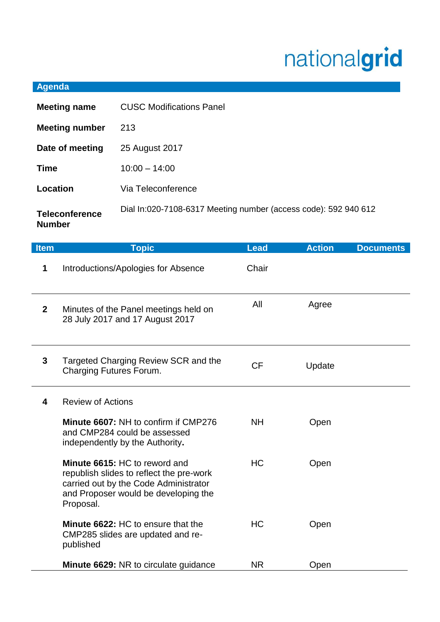## nationalgrid

## **Agenda**

| <b>Meeting name</b>                    | <b>CUSC Modifications Panel</b>                                 |
|----------------------------------------|-----------------------------------------------------------------|
| <b>Meeting number</b>                  | 213                                                             |
| Date of meeting                        | 25 August 2017                                                  |
| <b>Time</b>                            | $10:00 - 14:00$                                                 |
| Location                               | Via Teleconference                                              |
| <b>Teleconference</b><br><b>Number</b> | Dial In:020-7108-6317 Meeting number (access code): 592 940 612 |

| <b>Item</b>  | <b>Topic</b>                                                                                                                                                            | <b>Lead</b> | <b>Action</b> | <b>Documents</b> |
|--------------|-------------------------------------------------------------------------------------------------------------------------------------------------------------------------|-------------|---------------|------------------|
| 1            | Introductions/Apologies for Absence                                                                                                                                     | Chair       |               |                  |
| $\mathbf{2}$ | Minutes of the Panel meetings held on<br>28 July 2017 and 17 August 2017                                                                                                | All         | Agree         |                  |
| 3            | Targeted Charging Review SCR and the<br><b>Charging Futures Forum.</b>                                                                                                  | <b>CF</b>   | Update        |                  |
| 4            | <b>Review of Actions</b>                                                                                                                                                |             |               |                  |
|              | Minute 6607: NH to confirm if CMP276<br>and CMP284 could be assessed<br>independently by the Authority.                                                                 | <b>NH</b>   | Open          |                  |
|              | Minute 6615: HC to reword and<br>republish slides to reflect the pre-work<br>carried out by the Code Administrator<br>and Proposer would be developing the<br>Proposal. | <b>HC</b>   | Open          |                  |
|              | <b>Minute 6622: HC to ensure that the</b><br>CMP285 slides are updated and re-<br>published                                                                             | <b>HC</b>   | Open          |                  |
|              | <b>Minute 6629: NR to circulate guidance</b>                                                                                                                            | NR.         | Open          |                  |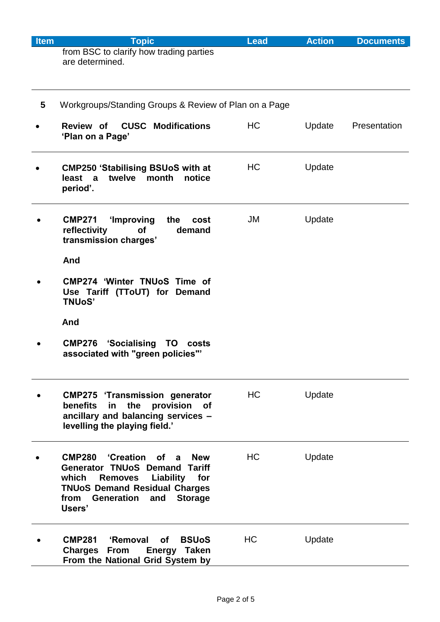| <b>Item</b> | <b>Topic</b>                                                                                                                                                                                                                             | <b>Lead</b> | <b>Action</b> | <b>Documents</b> |
|-------------|------------------------------------------------------------------------------------------------------------------------------------------------------------------------------------------------------------------------------------------|-------------|---------------|------------------|
|             | from BSC to clarify how trading parties<br>are determined.                                                                                                                                                                               |             |               |                  |
| 5           | Workgroups/Standing Groups & Review of Plan on a Page                                                                                                                                                                                    |             |               |                  |
|             | <b>Review of CUSC Modifications</b><br>'Plan on a Page'                                                                                                                                                                                  | HC          | Update        | Presentation     |
|             | <b>CMP250 'Stabilising BSUoS with at</b><br>twelve<br>month<br>least a<br>notice<br>period'.                                                                                                                                             | HC          | Update        |                  |
|             | 'Improving<br>the<br><b>CMP271</b><br>cost<br>reflectivity<br><b>of</b><br>demand<br>transmission charges'                                                                                                                               | JM          | Update        |                  |
|             | And                                                                                                                                                                                                                                      |             |               |                  |
|             | <b>CMP274 'Winter TNUoS Time of</b><br>Use Tariff (TToUT) for Demand<br><b>TNUoS'</b>                                                                                                                                                    |             |               |                  |
|             | And                                                                                                                                                                                                                                      |             |               |                  |
|             | 'Socialising TO<br><b>CMP276</b><br>costs<br>associated with "green policies"'                                                                                                                                                           |             |               |                  |
|             | <b>CMP275 'Transmission generator</b><br>in the<br>benefits<br>provision of<br>ancillary and balancing services -<br>levelling the playing field.'                                                                                       | HC          | Update        |                  |
|             | <b>Creation</b> of a<br><b>CMP280</b><br><b>New</b><br><b>Generator TNUoS Demand Tariff</b><br>which<br>Liability<br><b>Removes</b><br>for<br><b>TNUoS Demand Residual Charges</b><br>Generation and<br>from<br><b>Storage</b><br>Users' | HC          | Update        |                  |
|             | <b>CMP281</b><br>'Removal<br><b>of</b><br><b>BSUoS</b><br><b>Charges</b><br><b>From</b><br>Energy Taken<br>From the National Grid System by                                                                                              | HC          | Update        |                  |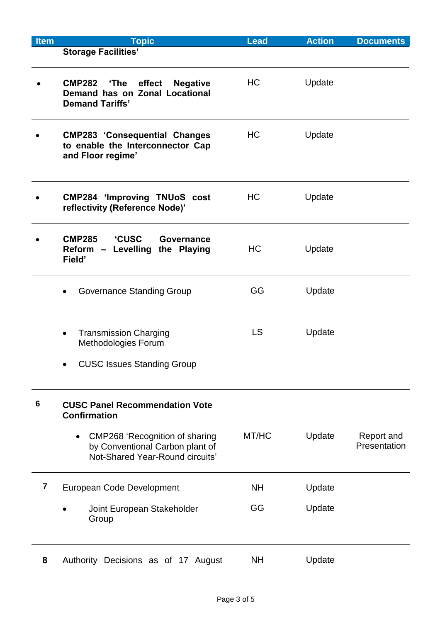| <b>Item</b>    | <b>Topic</b>                                                                                                             | <b>Lead</b> | <b>Action</b> | <b>Documents</b>           |
|----------------|--------------------------------------------------------------------------------------------------------------------------|-------------|---------------|----------------------------|
|                | <b>Storage Facilities'</b>                                                                                               |             |               |                            |
|                | <b>CMP282</b><br>effect<br>'The<br><b>Negative</b><br>Demand has on Zonal Locational<br><b>Demand Tariffs'</b>           | HC          | Update        |                            |
|                | <b>CMP283 'Consequential Changes</b><br>to enable the Interconnector Cap<br>and Floor regime'                            | HC          | Update        |                            |
|                | <b>CMP284 'Improving TNUoS cost</b><br>reflectivity (Reference Node)'                                                    | HC          | Update        |                            |
|                | <b>CUSC</b><br><b>CMP285</b><br>Governance<br>Reform - Levelling the Playing<br>Field'                                   | <b>HC</b>   | Update        |                            |
|                | <b>Governance Standing Group</b>                                                                                         | GG          | Update        |                            |
|                | <b>Transmission Charging</b><br>$\bullet$<br>Methodologies Forum                                                         | <b>LS</b>   | Update        |                            |
|                | <b>CUSC Issues Standing Group</b>                                                                                        |             |               |                            |
| 6              | <b>CUSC Panel Recommendation Vote</b><br><b>Confirmation</b>                                                             |             |               |                            |
|                | <b>CMP268 'Recognition of sharing</b><br>$\bullet$<br>by Conventional Carbon plant of<br>Not-Shared Year-Round circuits' | MT/HC       | Update        | Report and<br>Presentation |
| $\overline{7}$ | European Code Development                                                                                                | <b>NH</b>   | Update        |                            |
|                | Joint European Stakeholder<br>Group                                                                                      | GG          | Update        |                            |
| 8              | Authority Decisions as of 17 August                                                                                      | <b>NH</b>   | Update        |                            |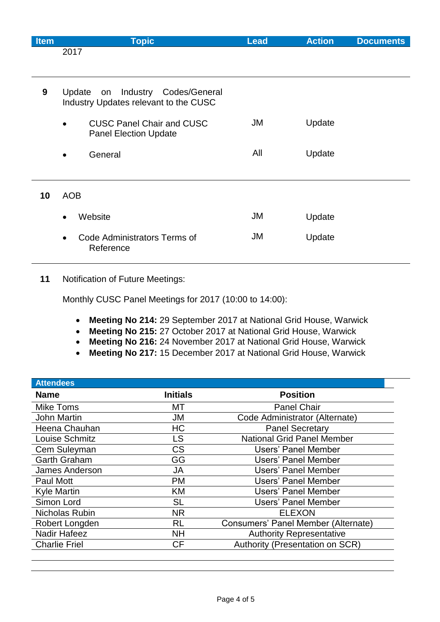| <b>Item</b> | <b>Topic</b>                                                                  | <b>Lead</b> | <b>Action</b> | <b>Documents</b> |
|-------------|-------------------------------------------------------------------------------|-------------|---------------|------------------|
|             | 2017                                                                          |             |               |                  |
|             |                                                                               |             |               |                  |
| 9           | Update on Industry Codes/General<br>Industry Updates relevant to the CUSC     |             |               |                  |
|             | <b>CUSC Panel Chair and CUSC</b><br>$\bullet$<br><b>Panel Election Update</b> | JM          | Update        |                  |
|             | General<br>$\bullet$                                                          | All         | Update        |                  |
|             |                                                                               |             |               |                  |
| 10          | <b>AOB</b>                                                                    |             |               |                  |
|             | Website<br>$\bullet$                                                          | JM          | Update        |                  |
|             | Code Administrators Terms of<br>Reference                                     | JM          | Update        |                  |

## **11** Notification of Future Meetings:

Monthly CUSC Panel Meetings for 2017 (10:00 to 14:00):

- **Meeting No 214:** 29 September 2017 at National Grid House, Warwick
- **Meeting No 215:** 27 October 2017 at National Grid House, Warwick
- **Meeting No 216:** 24 November 2017 at National Grid House, Warwick
- **Meeting No 217:** 15 December 2017 at National Grid House, Warwick

| <b>Attendees</b>     |                 |                                     |
|----------------------|-----------------|-------------------------------------|
| <b>Name</b>          | <b>Initials</b> | <b>Position</b>                     |
| <b>Mike Toms</b>     | МT              | <b>Panel Chair</b>                  |
| <b>John Martin</b>   | JM              | Code Administrator (Alternate)      |
| Heena Chauhan        | HC              | <b>Panel Secretary</b>              |
| Louise Schmitz       | LS              | <b>National Grid Panel Member</b>   |
| Cem Suleyman         | <b>CS</b>       | <b>Users' Panel Member</b>          |
| <b>Garth Graham</b>  | GG              | Users' Panel Member                 |
| James Anderson       | JA              | Users' Panel Member                 |
| Paul Mott            | <b>PM</b>       | <b>Users' Panel Member</b>          |
| <b>Kyle Martin</b>   | KM              | Users' Panel Member                 |
| Simon Lord           | <b>SL</b>       | <b>Users' Panel Member</b>          |
| Nicholas Rubin       | <b>NR</b>       | <b>ELEXON</b>                       |
| Robert Longden       | <b>RL</b>       | Consumers' Panel Member (Alternate) |
| Nadir Hafeez         | <b>NH</b>       | <b>Authority Representative</b>     |
| <b>Charlie Friel</b> | <b>CF</b>       | Authority (Presentation on SCR)     |